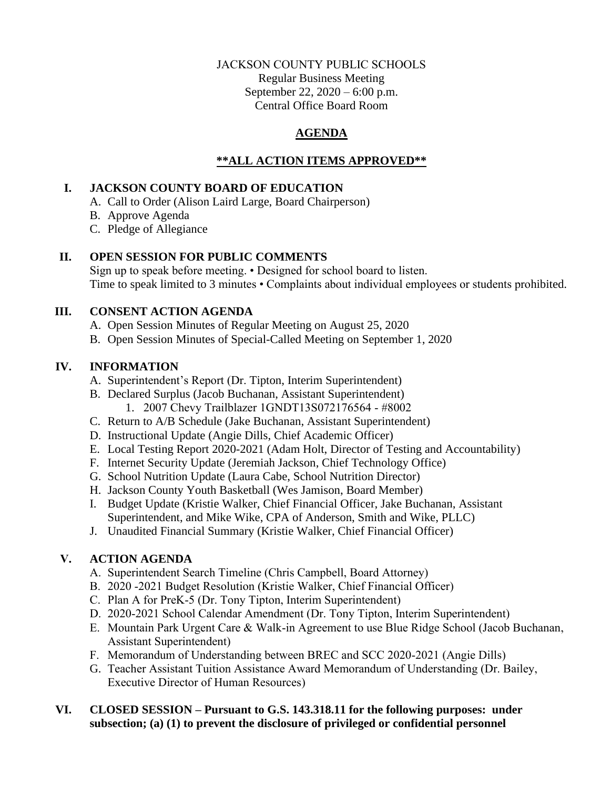## JACKSON COUNTY PUBLIC SCHOOLS Regular Business Meeting September 22, 2020 – 6:00 p.m. Central Office Board Room

# **AGENDA**

## **\*\*ALL ACTION ITEMS APPROVED\*\***

### **I. JACKSON COUNTY BOARD OF EDUCATION**

- A. Call to Order (Alison Laird Large, Board Chairperson)
- B. Approve Agenda
- C. Pledge of Allegiance

## **II. OPEN SESSION FOR PUBLIC COMMENTS**

Sign up to speak before meeting. • Designed for school board to listen. Time to speak limited to 3 minutes • Complaints about individual employees or students prohibited.

## **III. CONSENT ACTION AGENDA**

- A. Open Session Minutes of Regular Meeting on August 25, 2020
- B. Open Session Minutes of Special-Called Meeting on September 1, 2020

## **IV. INFORMATION**

- A. Superintendent's Report (Dr. Tipton, Interim Superintendent)
- B. Declared Surplus (Jacob Buchanan, Assistant Superintendent)
	- 1. 2007 Chevy Trailblazer 1GNDT13S072176564 #8002
- C. Return to A/B Schedule (Jake Buchanan, Assistant Superintendent)
- D. Instructional Update (Angie Dills, Chief Academic Officer)
- E. Local Testing Report 2020-2021 (Adam Holt, Director of Testing and Accountability)
- F. Internet Security Update (Jeremiah Jackson, Chief Technology Office)
- G. School Nutrition Update (Laura Cabe, School Nutrition Director)
- H. Jackson County Youth Basketball (Wes Jamison, Board Member)
- I. Budget Update (Kristie Walker, Chief Financial Officer, Jake Buchanan, Assistant Superintendent, and Mike Wike, CPA of Anderson, Smith and Wike, PLLC)
- J. Unaudited Financial Summary (Kristie Walker, Chief Financial Officer)

## **V. ACTION AGENDA**

- A. Superintendent Search Timeline (Chris Campbell, Board Attorney)
- B. 2020 -2021 Budget Resolution (Kristie Walker, Chief Financial Officer)
- C. Plan A for PreK-5 (Dr. Tony Tipton, Interim Superintendent)
- D. 2020-2021 School Calendar Amendment (Dr. Tony Tipton, Interim Superintendent)
- E. Mountain Park Urgent Care & Walk-in Agreement to use Blue Ridge School (Jacob Buchanan, Assistant Superintendent)
- F. Memorandum of Understanding between BREC and SCC 2020-2021 (Angie Dills)
- G. Teacher Assistant Tuition Assistance Award Memorandum of Understanding (Dr. Bailey, Executive Director of Human Resources)

#### **VI. CLOSED SESSION – Pursuant to G.S. 143.318.11 for the following purposes: under subsection; (a) (1) to prevent the disclosure of privileged or confidential personnel**